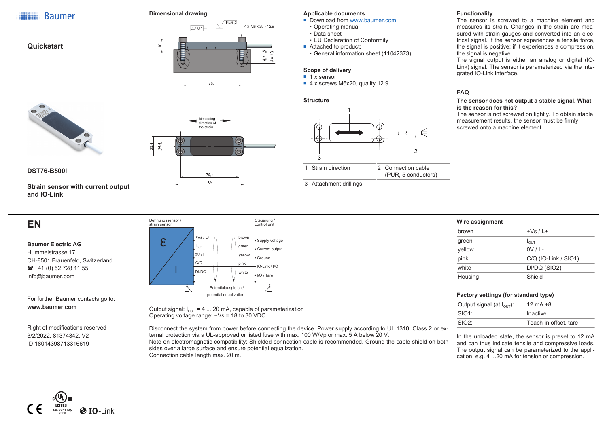







Measuring direction of the strain

76

### **Applicable documents**

- $\blacksquare$  Download from [www.baumer.com](https://baumer.com):
- Operating manual
- Data sheet
- EU Declaration of Conformity
- Attached to product:
- General information sheet (11042373)

#### **Scope of delivery**

- $\blacksquare$  1 x sensor
- $\blacksquare$  4 x screws M6x20, quality 12.9

### **Structure**



#### **Functionality**

The sensor is screwed to a machine element and measures its strain. Changes in the strain are measured with strain gauges and converted into an electrical signal. If the sensor experiences a tensile force, the signal is positive; if it experiences a compression, the signal is negative.

The signal output is either an analog or digital (IO-Link) signal. The sensor is parameterized via the integrated IO-Link interface.

### **FAQ**

#### **The sensor does not output a stable signal. What is the reason for this?**

The sensor is not screwed on tightly. To obtain stable measurement results, the sensor must be firmly screwed onto a machine element.



### **DST76-B500I**

**Strain sensor with current output and IO-Link**

# **EN**

**Baumer Electric AG** Hummelstrasse 17 CH-8501 Frauenfeld, Switzerland  $\mathbf{R}$  +41 (0) 52 728 11 55 info@baumer.com

For further Baumer contacts go to: **www.baumer.com**

Right of modifications reserved 3/2/2022, 81374342, V2 ID 18014398713316619



Output signal:  $I_{OUT} = 4$  ... 20 mA, capable of parameterization Operating voltage range: +Vs = 18 to 30 VDC

Disconnect the system from power before connecting the device. Power supply according to UL 1310, Class 2 or external protection via a UL-approved or listed fuse with max. 100 W/Vp or max. 5 A below 20 V.

Note on electromagnetic compatibility: Shielded connection cable is recommended. Ground the cable shield on both sides over a large surface and ensure potential equalization. Connection cable length max. 20 m.

| Wire assignment        |  |  |
|------------------------|--|--|
| $+Vs/L+$               |  |  |
| $I_{\text{OUT}}$       |  |  |
| $0V/L$ -               |  |  |
| $C/Q$ (IO-Link / SIO1) |  |  |
| DI/DQ (SIO2)           |  |  |
| Shield                 |  |  |
|                        |  |  |

## **Factory settings (for standard type)**

| Output signal (at $I_{\text{OUT}}$ ): | 12 mA $\pm$ 8         |
|---------------------------------------|-----------------------|
| SIO1                                  | Inactive              |
| SIO2                                  | Teach-in offset, tare |

In the unloaded state, the sensor is preset to 12 mA and can thus indicate tensile and compressive loads. The output signal can be parameterized to the application; e.g. 4 ...20 mA for tension or compression.

| <b>LISTED</b><br>IND, CONT, EQ.<br>2BD0 | <b>O</b> IO-Link |
|-----------------------------------------|------------------|



⊕  $\overline{\mathbb{G}}$